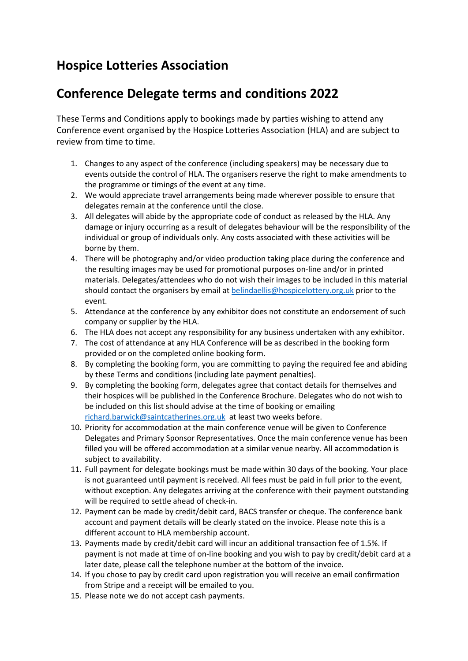## **Hospice Lotteries Association**

## **Conference Delegate terms and conditions 2022**

These Terms and Conditions apply to bookings made by parties wishing to attend any Conference event organised by the Hospice Lotteries Association (HLA) and are subject to review from time to time.

- 1. Changes to any aspect of the conference (including speakers) may be necessary due to events outside the control of HLA. The organisers reserve the right to make amendments to the programme or timings of the event at any time.
- 2. We would appreciate travel arrangements being made wherever possible to ensure that delegates remain at the conference until the close.
- 3. All delegates will abide by the appropriate code of conduct as released by the HLA. Any damage or injury occurring as a result of delegates behaviour will be the responsibility of the individual or group of individuals only. Any costs associated with these activities will be borne by them.
- 4. There will be photography and/or video production taking place during the conference and the resulting images may be used for promotional purposes on-line and/or in printed materials. Delegates/attendees who do not wish their images to be included in this material should contact the organisers by email a[t belindaellis@hospicelottery.org.uk](mailto:belindaellis@hospicelottery.org.uk) prior to the event.
- 5. Attendance at the conference by any exhibitor does not constitute an endorsement of such company or supplier by the HLA.
- 6. The HLA does not accept any responsibility for any business undertaken with any exhibitor.
- 7. The cost of attendance at any HLA Conference will be as described in the booking form provided or on the completed online booking form.
- 8. By completing the booking form, you are committing to paying the required fee and abiding by these Terms and conditions (including late payment penalties).
- 9. By completing the booking form, delegates agree that contact details for themselves and their hospices will be published in the Conference Brochure. Delegates who do not wish to be included on this list should advise at the time of booking or emailing [richard.barwick@saintcatherines.org.uk](mailto:richard.barwick@saintcatherines.org.uk) at least two weeks before.
- 10. Priority for accommodation at the main conference venue will be given to Conference Delegates and Primary Sponsor Representatives. Once the main conference venue has been filled you will be offered accommodation at a similar venue nearby. All accommodation is subject to availability.
- 11. Full payment for delegate bookings must be made within 30 days of the booking. Your place is not guaranteed until payment is received. All fees must be paid in full prior to the event, without exception. Any delegates arriving at the conference with their payment outstanding will be required to settle ahead of check-in.
- 12. Payment can be made by credit/debit card, BACS transfer or cheque. The conference bank account and payment details will be clearly stated on the invoice. Please note this is a different account to HLA membership account.
- 13. Payments made by credit/debit card will incur an additional transaction fee of 1.5%. If payment is not made at time of on-line booking and you wish to pay by credit/debit card at a later date, please call the telephone number at the bottom of the invoice.
- 14. If you chose to pay by credit card upon registration you will receive an email confirmation from Stripe and a receipt will be emailed to you.
- 15. Please note we do not accept cash payments.